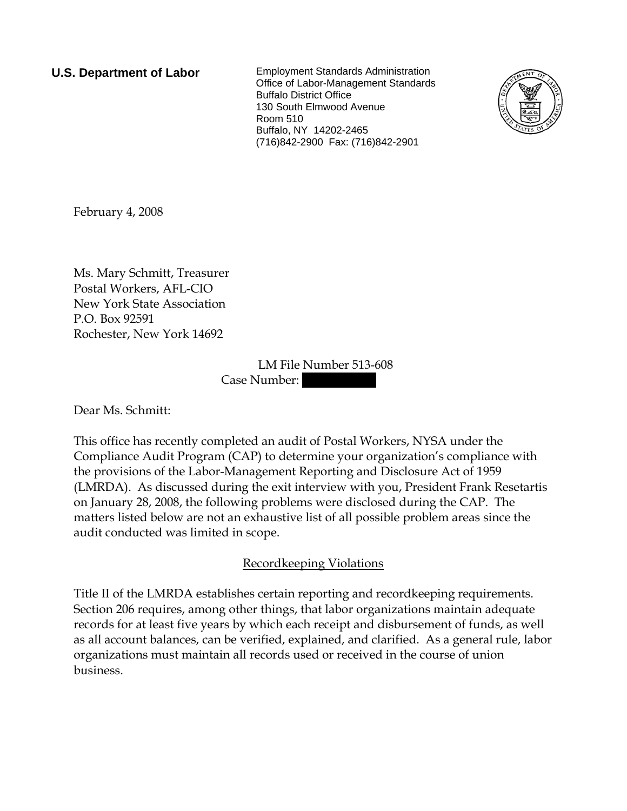**U.S. Department of Labor** Employment Standards Administration Office of Labor-Management Standards Buffalo District Office 130 South Elmwood Avenue Room 510 Buffalo, NY 14202-2465 (716)842-2900 Fax: (716)842-2901



February 4, 2008

Ms. Mary Schmitt, Treasurer Postal Workers, AFL-CIO New York State Association P.O. Box 92591 Rochester, New York 14692

> LM File Number 513-608 Case Number:

Dear Ms. Schmitt:

This office has recently completed an audit of Postal Workers, NYSA under the Compliance Audit Program (CAP) to determine your organization's compliance with the provisions of the Labor-Management Reporting and Disclosure Act of 1959 (LMRDA). As discussed during the exit interview with you, President Frank Resetartis on January 28, 2008, the following problems were disclosed during the CAP. The matters listed below are not an exhaustive list of all possible problem areas since the audit conducted was limited in scope.

## Recordkeeping Violations

Title II of the LMRDA establishes certain reporting and recordkeeping requirements. Section 206 requires, among other things, that labor organizations maintain adequate records for at least five years by which each receipt and disbursement of funds, as well as all account balances, can be verified, explained, and clarified. As a general rule, labor organizations must maintain all records used or received in the course of union business.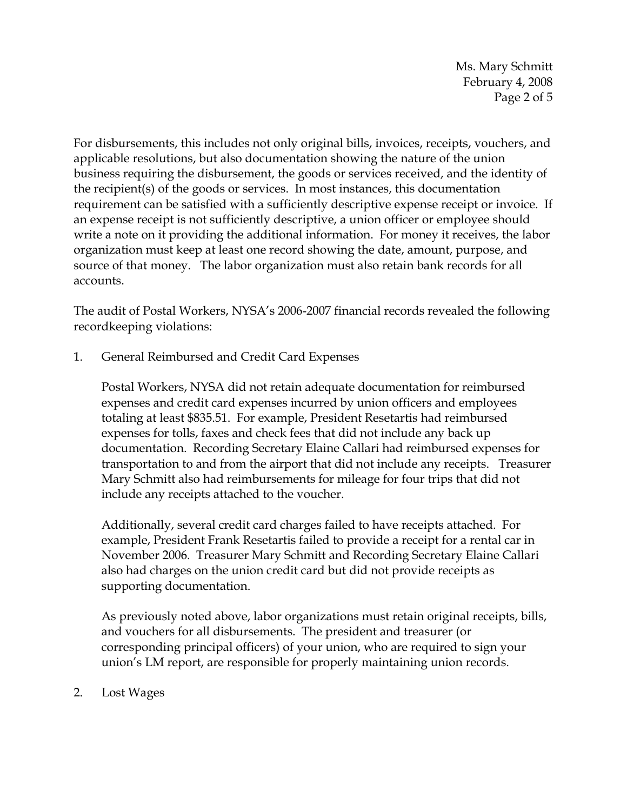Ms. Mary Schmitt February 4, 2008 Page 2 of 5

For disbursements, this includes not only original bills, invoices, receipts, vouchers, and applicable resolutions, but also documentation showing the nature of the union business requiring the disbursement, the goods or services received, and the identity of the recipient(s) of the goods or services. In most instances, this documentation requirement can be satisfied with a sufficiently descriptive expense receipt or invoice. If an expense receipt is not sufficiently descriptive, a union officer or employee should write a note on it providing the additional information. For money it receives, the labor organization must keep at least one record showing the date, amount, purpose, and source of that money. The labor organization must also retain bank records for all accounts.

The audit of Postal Workers, NYSA's 2006-2007 financial records revealed the following recordkeeping violations:

1. General Reimbursed and Credit Card Expenses

Postal Workers, NYSA did not retain adequate documentation for reimbursed expenses and credit card expenses incurred by union officers and employees totaling at least \$835.51. For example, President Resetartis had reimbursed expenses for tolls, faxes and check fees that did not include any back up documentation. Recording Secretary Elaine Callari had reimbursed expenses for transportation to and from the airport that did not include any receipts. Treasurer Mary Schmitt also had reimbursements for mileage for four trips that did not include any receipts attached to the voucher.

Additionally, several credit card charges failed to have receipts attached. For example, President Frank Resetartis failed to provide a receipt for a rental car in November 2006. Treasurer Mary Schmitt and Recording Secretary Elaine Callari also had charges on the union credit card but did not provide receipts as supporting documentation.

As previously noted above, labor organizations must retain original receipts, bills, and vouchers for all disbursements. The president and treasurer (or corresponding principal officers) of your union, who are required to sign your union's LM report, are responsible for properly maintaining union records.

2. Lost Wages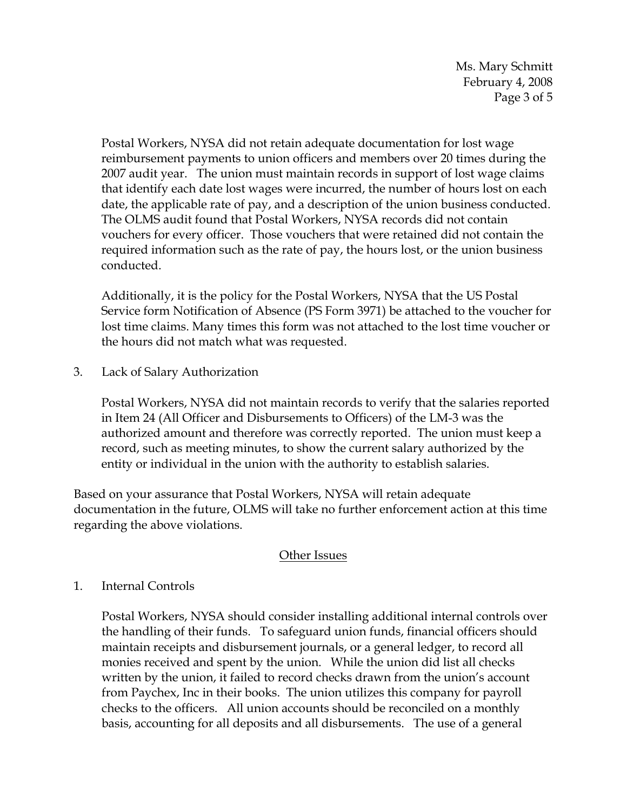Ms. Mary Schmitt February 4, 2008 Page 3 of 5

Postal Workers, NYSA did not retain adequate documentation for lost wage reimbursement payments to union officers and members over 20 times during the 2007 audit year. The union must maintain records in support of lost wage claims that identify each date lost wages were incurred, the number of hours lost on each date, the applicable rate of pay, and a description of the union business conducted. The OLMS audit found that Postal Workers, NYSA records did not contain vouchers for every officer. Those vouchers that were retained did not contain the required information such as the rate of pay, the hours lost, or the union business conducted.

Additionally, it is the policy for the Postal Workers, NYSA that the US Postal Service form Notification of Absence (PS Form 3971) be attached to the voucher for lost time claims. Many times this form was not attached to the lost time voucher or the hours did not match what was requested.

3. Lack of Salary Authorization

Postal Workers, NYSA did not maintain records to verify that the salaries reported in Item 24 (All Officer and Disbursements to Officers) of the LM-3 was the authorized amount and therefore was correctly reported. The union must keep a record, such as meeting minutes, to show the current salary authorized by the entity or individual in the union with the authority to establish salaries.

Based on your assurance that Postal Workers, NYSA will retain adequate documentation in the future, OLMS will take no further enforcement action at this time regarding the above violations.

## Other Issues

## 1. Internal Controls

Postal Workers, NYSA should consider installing additional internal controls over the handling of their funds. To safeguard union funds, financial officers should maintain receipts and disbursement journals, or a general ledger, to record all monies received and spent by the union. While the union did list all checks written by the union, it failed to record checks drawn from the union's account from Paychex, Inc in their books. The union utilizes this company for payroll checks to the officers. All union accounts should be reconciled on a monthly basis, accounting for all deposits and all disbursements. The use of a general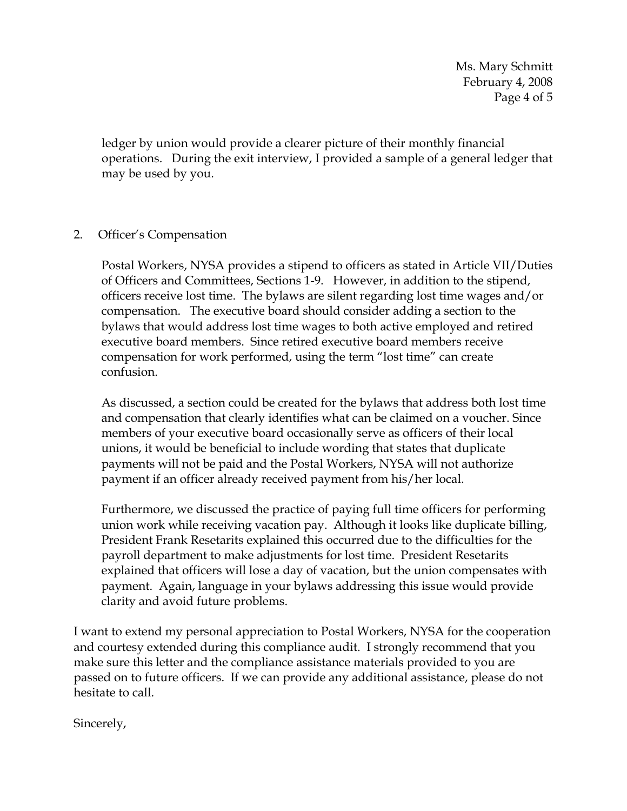Ms. Mary Schmitt February 4, 2008 Page 4 of 5

ledger by union would provide a clearer picture of their monthly financial operations. During the exit interview, I provided a sample of a general ledger that may be used by you.

## 2. Officer's Compensation

Postal Workers, NYSA provides a stipend to officers as stated in Article VII/Duties of Officers and Committees, Sections 1-9. However, in addition to the stipend, officers receive lost time. The bylaws are silent regarding lost time wages and/or compensation. The executive board should consider adding a section to the bylaws that would address lost time wages to both active employed and retired executive board members. Since retired executive board members receive compensation for work performed, using the term "lost time" can create confusion.

As discussed, a section could be created for the bylaws that address both lost time and compensation that clearly identifies what can be claimed on a voucher. Since members of your executive board occasionally serve as officers of their local unions, it would be beneficial to include wording that states that duplicate payments will not be paid and the Postal Workers, NYSA will not authorize payment if an officer already received payment from his/her local.

Furthermore, we discussed the practice of paying full time officers for performing union work while receiving vacation pay. Although it looks like duplicate billing, President Frank Resetarits explained this occurred due to the difficulties for the payroll department to make adjustments for lost time. President Resetarits explained that officers will lose a day of vacation, but the union compensates with payment. Again, language in your bylaws addressing this issue would provide clarity and avoid future problems.

I want to extend my personal appreciation to Postal Workers, NYSA for the cooperation and courtesy extended during this compliance audit. I strongly recommend that you make sure this letter and the compliance assistance materials provided to you are passed on to future officers. If we can provide any additional assistance, please do not hesitate to call.

Sincerely,